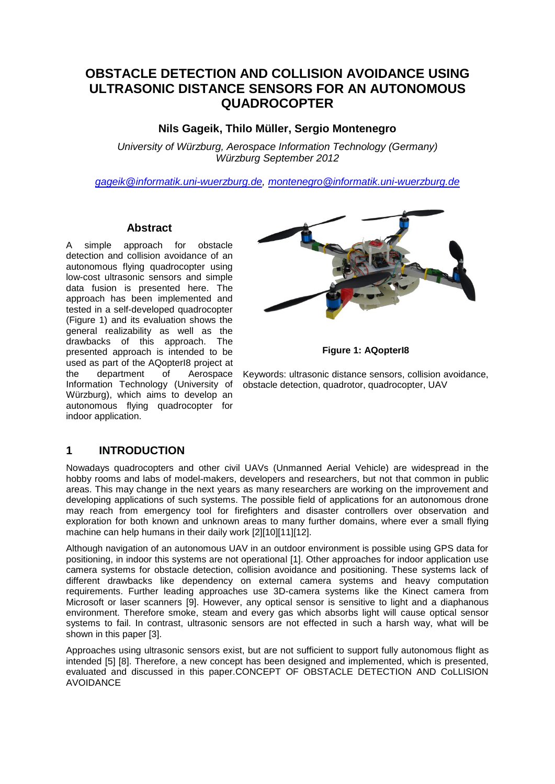# **OBSTACLE DETECTION AND COLLISION AVOIDANCE USING ULTRASONIC DISTANCE SENSORS FOR AN AUTONOMOUS QUADROCOPTER**

### **Nils Gageik, Thilo Müller, Sergio Montenegro**

*University of Würzburg, Aerospace Information Technology (Germany) Würzburg September 2012*

*[gageik@informatik.uni-wuerzburg.de,](mailto:gageik@informatik.uni-wuerzburg.de) [montenegro@informatik.uni-wuerzburg.de](mailto:montenegro@informatik.uni-wuerzburg.de)*

#### **Abstract**

A simple approach for obstacle detection and collision avoidance of an autonomous flying quadrocopter using low-cost ultrasonic sensors and simple data fusion is presented here. The approach has been implemented and tested in a self-developed quadrocopter (Figure 1) and its evaluation shows the general realizability as well as the drawbacks of this approach. The presented approach is intended to be used as part of the AQopterI8 project at the department of Aerospace Information Technology (University of Würzburg), which aims to develop an autonomous flying quadrocopter for indoor application.



**Figure 1: AQopterI8**

Keywords: ultrasonic distance sensors, collision avoidance, obstacle detection, quadrotor, quadrocopter, UAV

#### **1 INTRODUCTION**

Nowadays quadrocopters and other civil UAVs (Unmanned Aerial Vehicle) are widespread in the hobby rooms and labs of model-makers, developers and researchers, but not that common in public areas. This may change in the next years as many researchers are working on the improvement and developing applications of such systems. The possible field of applications for an autonomous drone may reach from emergency tool for firefighters and disaster controllers over observation and exploration for both known and unknown areas to many further domains, where ever a small flying machine can help humans in their daily work [2][10][11][12].

Although navigation of an autonomous UAV in an outdoor environment is possible using GPS data for positioning, in indoor this systems are not operational [1]. Other approaches for indoor application use camera systems for obstacle detection, collision avoidance and positioning. These systems lack of different drawbacks like dependency on external camera systems and heavy computation requirements. Further leading approaches use 3D-camera systems like the Kinect camera from Microsoft or laser scanners [9]. However, any optical sensor is sensitive to light and a diaphanous environment. Therefore smoke, steam and every gas which absorbs light will cause optical sensor systems to fail. In contrast, ultrasonic sensors are not effected in such a harsh way, what will be shown in this paper [3].

Approaches using ultrasonic sensors exist, but are not sufficient to support fully autonomous flight as intended [5] [8]. Therefore, a new concept has been designed and implemented, which is presented, evaluated and discussed in this paper.CONCEPT OF OBSTACLE DETECTION AND CoLLISION AVOIDANCE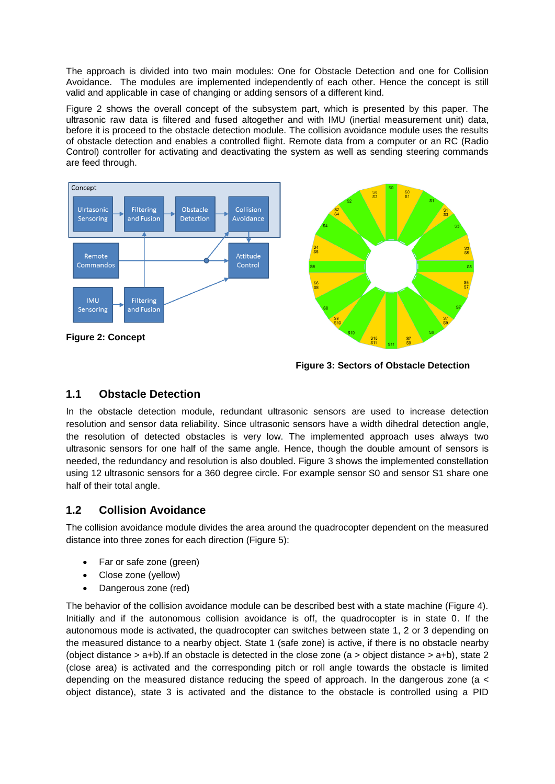The approach is divided into two main modules: One for Obstacle Detection and one for Collision Avoidance. The modules are implemented independently of each other. Hence the concept is still valid and applicable in case of changing or adding sensors of a different kind.

Figure 2 shows the overall concept of the subsystem part, which is presented by this paper. The ultrasonic raw data is filtered and fused altogether and with IMU (inertial measurement unit) data, before it is proceed to the obstacle detection module. The collision avoidance module uses the results of obstacle detection and enables a controlled flight. Remote data from a computer or an RC (Radio Control) controller for activating and deactivating the system as well as sending steering commands are feed through.



**Figure 2: Concept**



**Figure 3: Sectors of Obstacle Detection**

## **1.1 Obstacle Detection**

In the obstacle detection module, redundant ultrasonic sensors are used to increase detection resolution and sensor data reliability. Since ultrasonic sensors have a width dihedral detection angle, the resolution of detected obstacles is very low. The implemented approach uses always two ultrasonic sensors for one half of the same angle. Hence, though the double amount of sensors is needed, the redundancy and resolution is also doubled. Figure 3 shows the implemented constellation using 12 ultrasonic sensors for a 360 degree circle. For example sensor S0 and sensor S1 share one half of their total angle.

## **1.2 Collision Avoidance**

The collision avoidance module divides the area around the quadrocopter dependent on the measured distance into three zones for each direction (Figure 5):

- Far or safe zone (green)
- Close zone (yellow)
- Dangerous zone (red)

The behavior of the collision avoidance module can be described best with a state machine (Figure 4). Initially and if the autonomous collision avoidance is off, the quadrocopter is in state 0. If the autonomous mode is activated, the quadrocopter can switches between state 1, 2 or 3 depending on the measured distance to a nearby object. State 1 (safe zone) is active, if there is no obstacle nearby (object distance  $>$  a+b). If an obstacle is detected in the close zone (a  $>$  object distance  $>$  a+b), state 2 (close area) is activated and the corresponding pitch or roll angle towards the obstacle is limited depending on the measured distance reducing the speed of approach. In the dangerous zone (a < object distance), state 3 is activated and the distance to the obstacle is controlled using a PID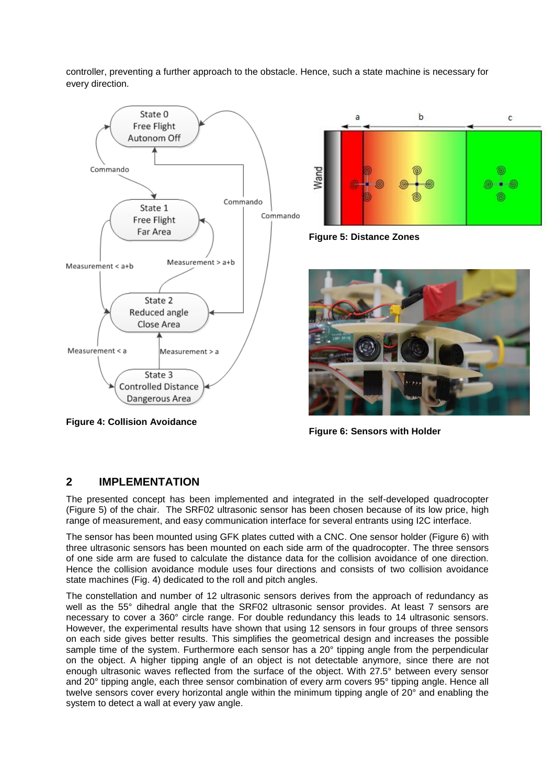controller, preventing a further approach to the obstacle. Hence, such a state machine is necessary for every direction.



**Figure 4: Collision Avoidance**



**Figure 5: Distance Zones**



**Figure 6: Sensors with Holder**

## **2 IMPLEMENTATION**

The presented concept has been implemented and integrated in the self-developed quadrocopter (Figure 5) of the chair. The SRF02 ultrasonic sensor has been chosen because of its low price, high range of measurement, and easy communication interface for several entrants using I2C interface.

The sensor has been mounted using GFK plates cutted with a CNC. One sensor holder (Figure 6) with three ultrasonic sensors has been mounted on each side arm of the quadrocopter. The three sensors of one side arm are fused to calculate the distance data for the collision avoidance of one direction. Hence the collision avoidance module uses four directions and consists of two collision avoidance state machines (Fig. 4) dedicated to the roll and pitch angles.

The constellation and number of 12 ultrasonic sensors derives from the approach of redundancy as well as the 55° dihedral angle that the SRF02 ultrasonic sensor provides. At least 7 sensors are necessary to cover a 360° circle range. For double redundancy this leads to 14 ultrasonic sensors. However, the experimental results have shown that using 12 sensors in four groups of three sensors on each side gives better results. This simplifies the geometrical design and increases the possible sample time of the system. Furthermore each sensor has a 20° tipping angle from the perpendicular on the object. A higher tipping angle of an object is not detectable anymore, since there are not enough ultrasonic waves reflected from the surface of the object. With 27.5° between every sensor and 20° tipping angle, each three sensor combination of every arm covers 95° tipping angle. Hence all twelve sensors cover every horizontal angle within the minimum tipping angle of 20° and enabling the system to detect a wall at every yaw angle.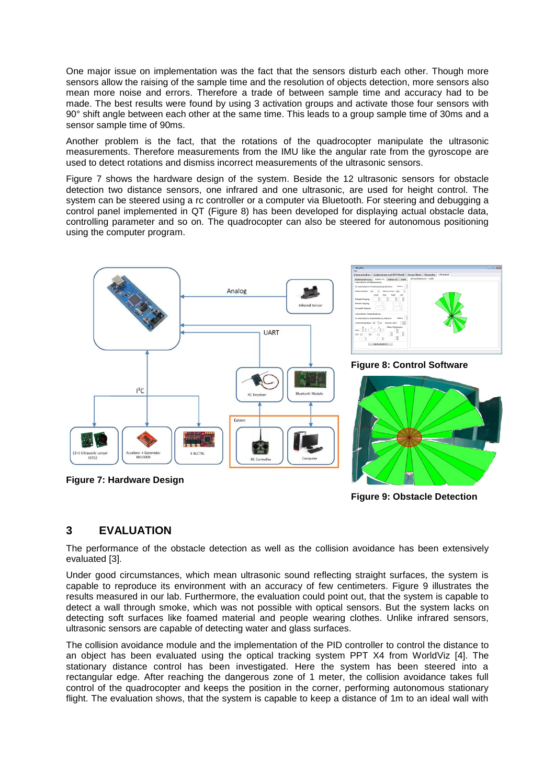One major issue on implementation was the fact that the sensors disturb each other. Though more sensors allow the raising of the sample time and the resolution of objects detection, more sensors also mean more noise and errors. Therefore a trade of between sample time and accuracy had to be made. The best results were found by using 3 activation groups and activate those four sensors with 90° shift angle between each other at the same time. This leads to a group sample time of 30ms and a sensor sample time of 90ms.

Another problem is the fact, that the rotations of the quadrocopter manipulate the ultrasonic measurements. Therefore measurements from the IMU like the angular rate from the gyroscope are used to detect rotations and dismiss incorrect measurements of the ultrasonic sensors.

Figure 7 shows the hardware design of the system. Beside the 12 ultrasonic sensors for obstacle detection two distance sensors, one infrared and one ultrasonic, are used for height control. The system can be steered using a rc controller or a computer via Bluetooth. For steering and debugging a control panel implemented in QT (Figure 8) has been developed for displaying actual obstacle data, controlling parameter and so on. The quadrocopter can also be steered for autonomous positioning using the computer program.



**Figure 7: Hardware Design**

**Figure 9: Obstacle Detection** 

#### **3 EVALUATION**

The performance of the obstacle detection as well as the collision avoidance has been extensively evaluated [3].

Under good circumstances, which mean ultrasonic sound reflecting straight surfaces, the system is capable to reproduce its environment with an accuracy of few centimeters. Figure 9 illustrates the results measured in our lab. Furthermore, the evaluation could point out, that the system is capable to detect a wall through smoke, which was not possible with optical sensors. But the system lacks on detecting soft surfaces like foamed material and people wearing clothes. Unlike infrared sensors, ultrasonic sensors are capable of detecting water and glass surfaces.

The collision avoidance module and the implementation of the PID controller to control the distance to an object has been evaluated using the optical tracking system PPT X4 from WorldViz [4]. The stationary distance control has been investigated. Here the system has been steered into a rectangular edge. After reaching the dangerous zone of 1 meter, the collision avoidance takes full control of the quadrocopter and keeps the position in the corner, performing autonomous stationary flight. The evaluation shows, that the system is capable to keep a distance of 1m to an ideal wall with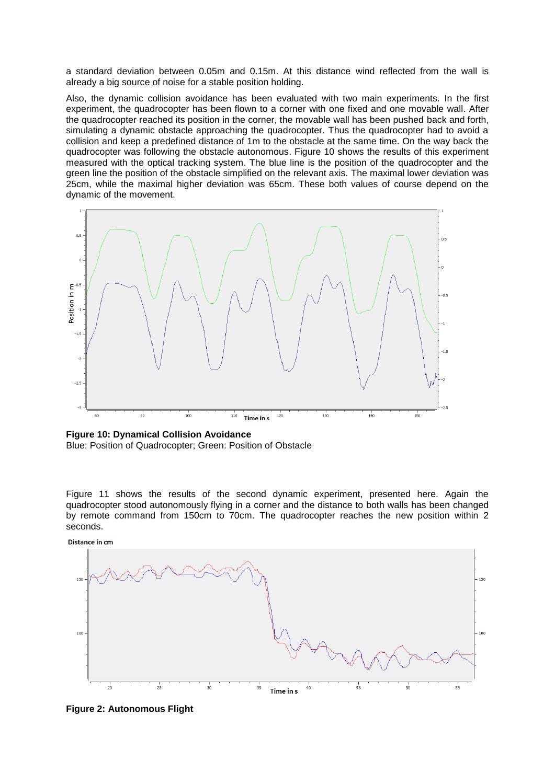a standard deviation between 0.05m and 0.15m. At this distance wind reflected from the wall is already a big source of noise for a stable position holding.

Also, the dynamic collision avoidance has been evaluated with two main experiments. In the first experiment, the quadrocopter has been flown to a corner with one fixed and one movable wall. After the quadrocopter reached its position in the corner, the movable wall has been pushed back and forth, simulating a dynamic obstacle approaching the quadrocopter. Thus the quadrocopter had to avoid a collision and keep a predefined distance of 1m to the obstacle at the same time. On the way back the quadrocopter was following the obstacle autonomous. Figure 10 shows the results of this experiment measured with the optical tracking system. The blue line is the position of the quadrocopter and the green line the position of the obstacle simplified on the relevant axis. The maximal lower deviation was 25cm, while the maximal higher deviation was 65cm. These both values of course depend on the dynamic of the movement.



**Figure 10: Dynamical Collision Avoidance**

Blue: Position of Quadrocopter; Green: Position of Obstacle

Figure 11 shows the results of the second dynamic experiment, presented here. Again the quadrocopter stood autonomously flying in a corner and the distance to both walls has been changed by remote command from 150cm to 70cm. The quadrocopter reaches the new position within 2 seconds.



**Figure 2: Autonomous Flight**